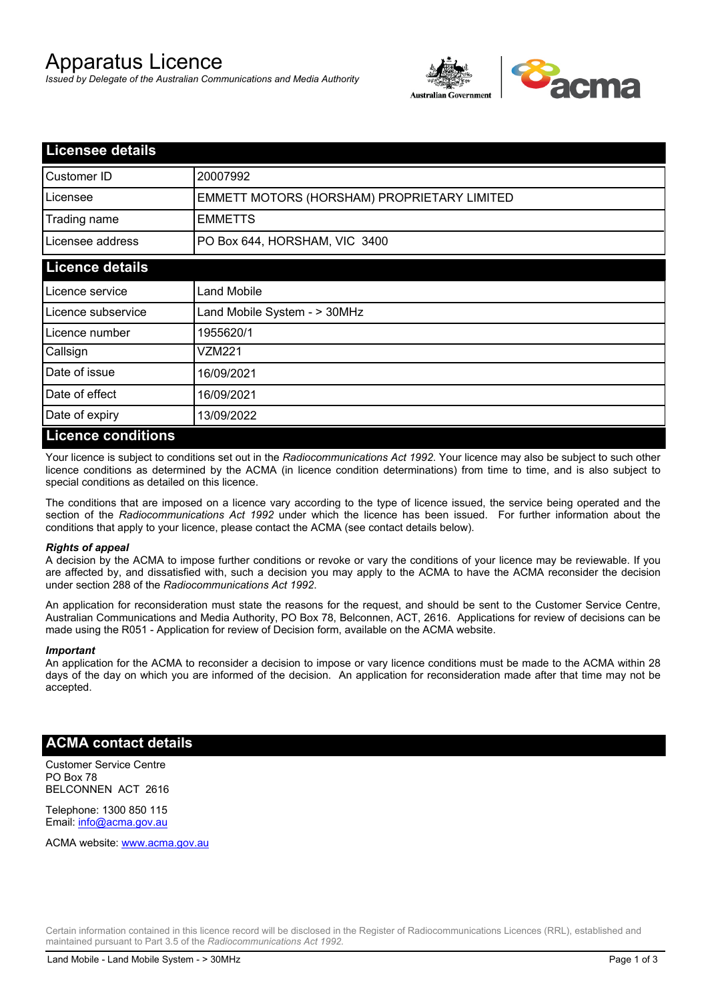# Apparatus Licence

*Issued by Delegate of the Australian Communications and Media Authority*



| <b>Licensee details</b> |                                             |
|-------------------------|---------------------------------------------|
| Customer ID             | 20007992                                    |
| Licensee                | EMMETT MOTORS (HORSHAM) PROPRIETARY LIMITED |
| Trading name            | <b>EMMETTS</b>                              |
| Licensee address        | PO Box 644, HORSHAM, VIC 3400               |
| <b>Licence details</b>  |                                             |
| Licence service         | <b>Land Mobile</b>                          |
| Licence subservice      | Land Mobile System - > 30MHz                |
| Licence number          | 1955620/1                                   |
| Callsign                | VZM221                                      |
| Date of issue           | 16/09/2021                                  |
| Date of effect          | 16/09/2021                                  |
| Date of expiry          | 13/09/2022                                  |
| Licance conditions      |                                             |

### **Licence conditions**

Your licence is subject to conditions set out in the *Radiocommunications Act 1992*. Your licence may also be subject to such other licence conditions as determined by the ACMA (in licence condition determinations) from time to time, and is also subject to special conditions as detailed on this licence.

The conditions that are imposed on a licence vary according to the type of licence issued, the service being operated and the section of the *Radiocommunications Act 1992* under which the licence has been issued. For further information about the conditions that apply to your licence, please contact the ACMA (see contact details below).

#### *Rights of appeal*

A decision by the ACMA to impose further conditions or revoke or vary the conditions of your licence may be reviewable. If you are affected by, and dissatisfied with, such a decision you may apply to the ACMA to have the ACMA reconsider the decision under section 288 of the *Radiocommunications Act 1992*.

An application for reconsideration must state the reasons for the request, and should be sent to the Customer Service Centre, Australian Communications and Media Authority, PO Box 78, Belconnen, ACT, 2616. Applications for review of decisions can be made using the R051 - Application for review of Decision form, available on the ACMA website.

#### *Important*

An application for the ACMA to reconsider a decision to impose or vary licence conditions must be made to the ACMA within 28 days of the day on which you are informed of the decision. An application for reconsideration made after that time may not be accepted.

## **ACMA contact details**

Customer Service Centre PO Box 78 BELCONNEN ACT 2616

Telephone: 1300 850 115 Email: info@acma.gov.au

ACMA website: www.acma.gov.au

Certain information contained in this licence record will be disclosed in the Register of Radiocommunications Licences (RRL), established and maintained pursuant to Part 3.5 of the *Radiocommunications Act 1992.*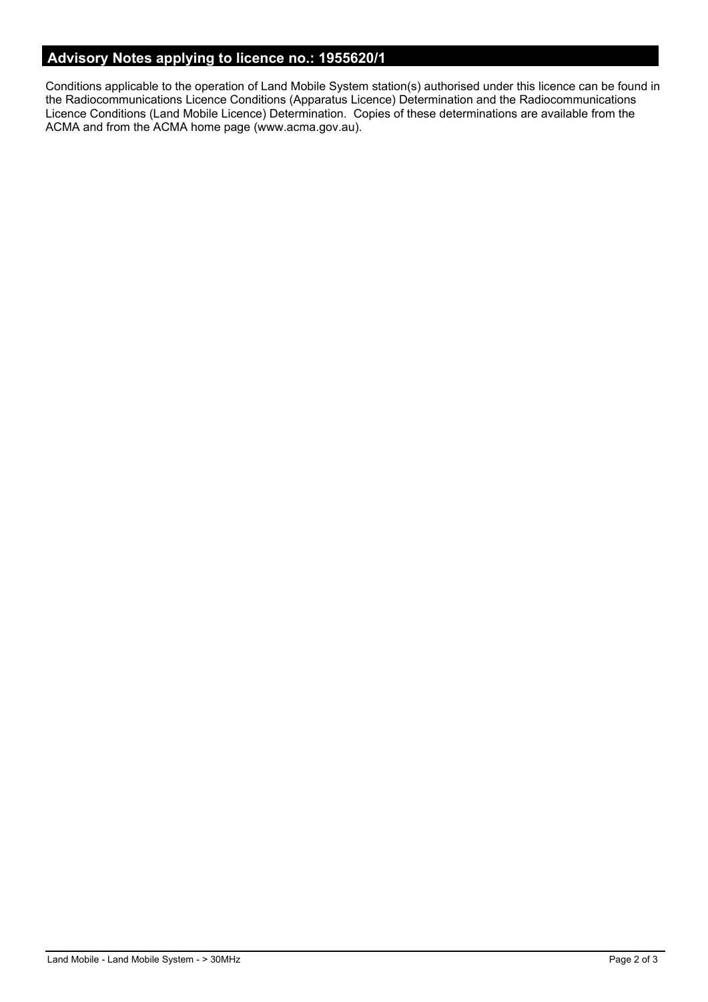# **Advisory Notes applying to licence no.: 1955620/1**

Conditions applicable to the operation of Land Mobile System station(s) authorised under this licence can be found in the Radiocommunications Licence Conditions (Apparatus Licence) Determination and the Radiocommunications Licence Conditions (Land Mobile Licence) Determination. Copies of these determinations are available from the ACMA and from the ACMA home page (www.acma.gov.au).